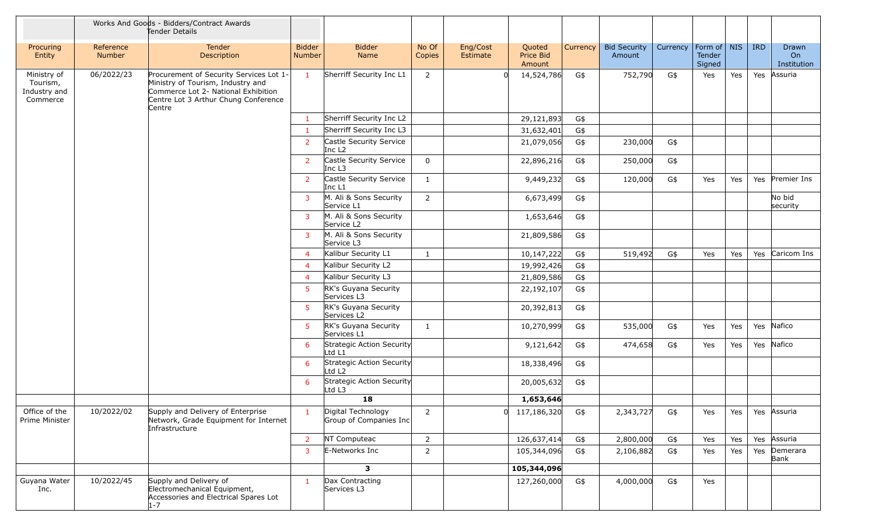|                                                     |                     | Works And Goods - Bidders/Contract Awards<br>Tender Details                                                                                                           |                                |                                                  |                 |                      |                               |          |                               |                          |                  |     |            |                            |
|-----------------------------------------------------|---------------------|-----------------------------------------------------------------------------------------------------------------------------------------------------------------------|--------------------------------|--------------------------------------------------|-----------------|----------------------|-------------------------------|----------|-------------------------------|--------------------------|------------------|-----|------------|----------------------------|
| Procuring<br>Entity                                 | Reference<br>Number | Tender<br>Description                                                                                                                                                 | <b>Bidder</b><br><b>Number</b> | <b>Bidder</b><br>Name                            | No Of<br>Copies | Eng/Cost<br>Estimate | Quoted<br>Price Bid<br>Amount | Currency | <b>Bid Security</b><br>Amount | Currency   Form of   NIS | Tender<br>Signed |     | <b>IRD</b> | Drawn<br>On<br>Institution |
| Ministry of<br>Tourism,<br>Industry and<br>Commerce | 06/2022/23          | Procurement of Security Services Lot 1-<br>Ministry of Tourism, Industry and<br>Commerce Lot 2- National Exhibition<br>Centre Lot 3 Arthur Chung Conference<br>Centre | $\mathbf{1}$                   | Sherriff Security Inc L1                         | $\overline{2}$  | U                    | 14,524,786                    | G\$      | 752,790                       | G\$                      | Yes              | Yes | Yes        | Assuria                    |
|                                                     |                     |                                                                                                                                                                       | $\mathbf{1}$                   | Sherriff Security Inc L2                         |                 |                      | 29,121,893                    | G\$      |                               |                          |                  |     |            |                            |
|                                                     |                     |                                                                                                                                                                       | $\mathbf{1}$                   | Sherriff Security Inc L3                         |                 |                      | 31,632,401                    | G\$      |                               |                          |                  |     |            |                            |
|                                                     |                     |                                                                                                                                                                       | $\overline{2}$                 | Castle Security Service<br>Inc L <sub>2</sub>    |                 |                      | 21,079,056                    | G\$      | 230,000                       | G\$                      |                  |     |            |                            |
|                                                     |                     |                                                                                                                                                                       | $\overline{2}$                 | Castle Security Service<br>Inc L3                | 0               |                      | 22,896,216                    | G\$      | 250,000                       | G\$                      |                  |     |            |                            |
|                                                     |                     |                                                                                                                                                                       | $\overline{2}$                 | Castle Security Service<br>Inc L1                | $\mathbf{1}$    |                      | 9,449,232                     | G\$      | 120,000                       | G\$                      | Yes              | Yes |            | Yes Premier Ins            |
|                                                     |                     |                                                                                                                                                                       | 3                              | M. Ali & Sons Security<br>Service L1             | $\overline{2}$  |                      | 6,673,499                     | G\$      |                               |                          |                  |     |            | No bid<br>security         |
|                                                     |                     |                                                                                                                                                                       | 3                              | M. Ali & Sons Security<br>Service L <sub>2</sub> |                 |                      | 1,653,646                     | G\$      |                               |                          |                  |     |            |                            |
|                                                     |                     |                                                                                                                                                                       | 3                              | M. Ali & Sons Security<br>Service L3             |                 |                      | 21,809,586                    | G\$      |                               |                          |                  |     |            |                            |
|                                                     |                     |                                                                                                                                                                       | $\overline{4}$                 | Kalibur Security L1                              | $\mathbf{1}$    |                      | 10,147,222                    | G\$      | 519,492                       | G\$                      | Yes              | Yes |            | Yes Caricom Ins            |
|                                                     |                     |                                                                                                                                                                       | $\overline{4}$                 | Kalibur Security L2                              |                 |                      | 19,992,426                    | G\$      |                               |                          |                  |     |            |                            |
|                                                     |                     |                                                                                                                                                                       | $\overline{4}$                 | Kalibur Security L3                              |                 |                      | 21,809,586                    | G\$      |                               |                          |                  |     |            |                            |
|                                                     |                     |                                                                                                                                                                       | 5                              | RK's Guyana Security<br>Services L3              |                 |                      | 22,192,107                    | G\$      |                               |                          |                  |     |            |                            |
|                                                     |                     |                                                                                                                                                                       | 5                              | RK's Guyana Security<br>Services L <sub>2</sub>  |                 |                      | 20,392,813                    | G\$      |                               |                          |                  |     |            |                            |
|                                                     |                     |                                                                                                                                                                       | 5.                             | RK's Guyana Security<br>Services L1              | $\mathbf{1}$    |                      | 10,270,999                    | G\$      | 535,000                       | G\$                      | Yes              | Yes |            | Yes Nafico                 |
|                                                     |                     |                                                                                                                                                                       | 6                              | Strategic Action Security<br>Ltd L1              |                 |                      | 9,121,642                     | G\$      | 474,658                       | G\$                      | Yes              | Yes |            | Yes Nafico                 |
|                                                     |                     |                                                                                                                                                                       | 6                              | Strategic Action Security<br>Ltd L2              |                 |                      | 18,338,496                    | G\$      |                               |                          |                  |     |            |                            |
|                                                     |                     |                                                                                                                                                                       | 6                              | Strategic Action Security<br>Ltd L3              |                 |                      | 20,005,632                    | G\$      |                               |                          |                  |     |            |                            |
|                                                     |                     |                                                                                                                                                                       |                                | 18                                               |                 |                      | 1,653,646                     |          |                               |                          |                  |     |            |                            |
| Office of the<br><b>Prime Minister</b>              | 10/2022/02          | Supply and Delivery of Enterprise<br>Network, Grade Equipment for Internet<br>Infrastructure                                                                          | $\mathbf{1}$                   | Digital Technology<br>Group of Companies Inc     | $\overline{2}$  |                      | 117,186,320<br>0              | G\$      | 2,343,727                     | G\$                      | Yes              | Yes | Yes        | Assuria                    |
|                                                     |                     |                                                                                                                                                                       | $2^{\circ}$                    | NT Computeac                                     | $\overline{2}$  |                      | 126,637,414                   | G\$      | 2,800,000                     | G\$                      | Yes              | Yes |            | Yes Assuria                |
|                                                     |                     |                                                                                                                                                                       | 3                              | E-Networks Inc                                   | $\overline{2}$  |                      | 105,344,096                   | G\$      | 2,106,882                     | G\$                      | Yes              | Yes |            | Yes Demerara<br>Bank       |
|                                                     |                     |                                                                                                                                                                       |                                | 3                                                |                 |                      | 105,344,096                   |          |                               |                          |                  |     |            |                            |
| Guyana Water<br>Inc.                                | 10/2022/45          | Supply and Delivery of<br>Electromechanical Equipment,<br>Accessories and Electrical Spares Lot<br>$1 - 7$                                                            | $\mathbf{1}$                   | Dax Contracting<br>Services L3                   |                 |                      | 127,260,000                   | G\$      | 4,000,000                     | G\$                      | Yes              |     |            |                            |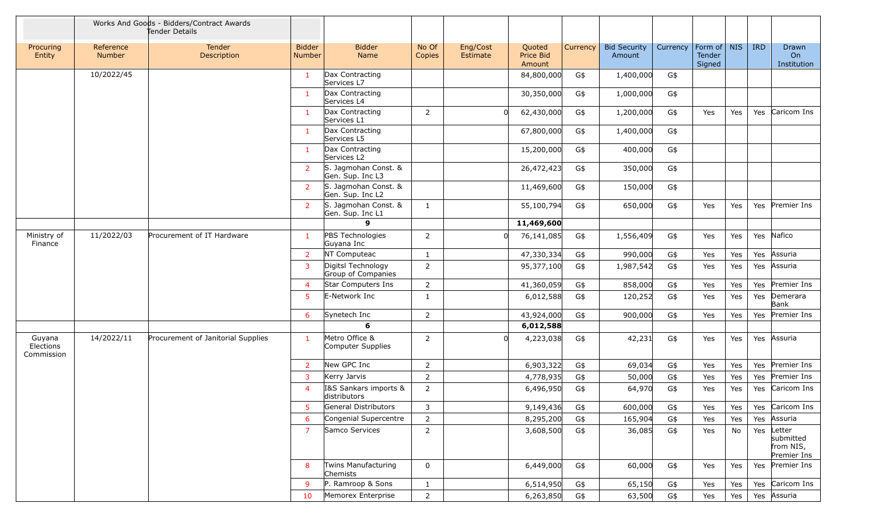|                                   |                            | Works And Goods - Bidders/Contract Awards<br>Tender Details |                                |                                          |                 |                      |                               |          |                               |          |                                          |     |            |                                                     |
|-----------------------------------|----------------------------|-------------------------------------------------------------|--------------------------------|------------------------------------------|-----------------|----------------------|-------------------------------|----------|-------------------------------|----------|------------------------------------------|-----|------------|-----------------------------------------------------|
| Procuring<br>Entity               | Reference<br><b>Number</b> | Tender<br>Description                                       | <b>Bidder</b><br><b>Number</b> | <b>Bidder</b><br>Name                    | No Of<br>Copies | Eng/Cost<br>Estimate | Quoted<br>Price Bid<br>Amount | Currency | <b>Bid Security</b><br>Amount | Currency | Form of   NIS<br><b>Tender</b><br>Signed |     | <b>IRD</b> | Drawn<br>O <sub>n</sub><br>Institution              |
|                                   | 10/2022/45                 |                                                             | $\mathbf{1}$                   | Dax Contracting<br>Services L7           |                 |                      | 84,800,000                    | G\$      | 1,400,000                     | G\$      |                                          |     |            |                                                     |
|                                   |                            |                                                             | $\mathbf{1}$                   | Dax Contracting<br>Services L4           |                 |                      | 30,350,000                    | G\$      | 1,000,000                     | G\$      |                                          |     |            |                                                     |
|                                   |                            |                                                             | $\mathbf{1}$                   | Dax Contracting<br>Services L1           | $\overline{2}$  | $\Omega$             | 62,430,000                    | G\$      | 1,200,000                     | G\$      | Yes                                      | Yes |            | Yes Caricom Ins                                     |
|                                   |                            |                                                             | $\mathbf{1}$                   | Dax Contracting<br>Services L5           |                 |                      | 67,800,000                    | G\$      | 1,400,000                     | G\$      |                                          |     |            |                                                     |
|                                   |                            |                                                             | $\mathbf{1}$                   | Dax Contracting<br>Services L2           |                 |                      | 15,200,000                    | G\$      | 400,000                       | G\$      |                                          |     |            |                                                     |
|                                   |                            |                                                             | $\overline{2}$                 | S. Jagmohan Const. &<br>Gen. Sup. Inc L3 |                 |                      | 26,472,423                    | G\$      | 350,000                       | G\$      |                                          |     |            |                                                     |
|                                   |                            |                                                             | $\overline{2}$                 | S. Jagmohan Const. &<br>Gen. Sup. Inc L2 |                 |                      | 11,469,600                    | G\$      | 150,000                       | G\$      |                                          |     |            |                                                     |
|                                   |                            |                                                             | $\overline{2}$                 | S. Jagmohan Const. &<br>Gen. Sup. Inc L1 | 1               |                      | 55,100,794                    | G\$      | 650,000                       | G\$      | Yes                                      | Yes |            | Yes Premier Ins                                     |
|                                   |                            |                                                             |                                | 9                                        |                 |                      | 11,469,600                    |          |                               |          |                                          |     |            |                                                     |
| Ministry of<br>Finance            | 11/2022/03                 | Procurement of IT Hardware                                  | $\mathbf{1}$                   | PBS Technologies<br>Guyana Inc           | 2               | $\Omega$             | 76,141,085                    | G\$      | 1,556,409                     | G\$      | Yes                                      | Yes |            | Yes Nafico                                          |
|                                   |                            |                                                             | $\overline{2}$                 | NT Computeac                             | $\mathbf{1}$    |                      | 47,330,334                    | G\$      | 990,000                       | G\$      | Yes                                      | Yes | Yes        | Assuria                                             |
|                                   |                            |                                                             | 3                              | Digitsl Technology<br>Group of Companies | $\overline{2}$  |                      | 95,377,100                    | G\$      | 1,987,542                     | G\$      | Yes                                      | Yes | Yes        | Assuria                                             |
|                                   |                            |                                                             | $\overline{4}$                 | Star Computers Ins                       | $\overline{2}$  |                      | 41,360,059                    | G\$      | 858,000                       | G\$      | Yes                                      | Yes | Yes        | Premier Ins                                         |
|                                   |                            |                                                             | 5                              | E-Network Inc                            | 1               |                      | 6,012,588                     | G\$      | 120,252                       | G\$      | Yes                                      | Yes |            | Yes Demerara<br>Bank                                |
|                                   |                            |                                                             | 6                              | Synetech Inc                             | $\overline{2}$  |                      | 43,924,000                    | G\$      | 900,000                       | G\$      | Yes                                      | Yes | Yes        | Premier Ins                                         |
|                                   |                            |                                                             |                                | 6                                        |                 |                      | 6,012,588                     |          |                               |          |                                          |     |            |                                                     |
| Guyana<br>Elections<br>Commission | 14/2022/11                 | Procurement of Janitorial Supplies                          | $\mathbf{1}$                   | Metro Office &<br>Computer Supplies      | $\overline{2}$  | O                    | 4,223,038                     | G\$      | 42,231                        | G\$      | Yes                                      | Yes | Yes        | Assuria                                             |
|                                   |                            |                                                             | $\overline{2}$                 | New GPC Inc                              | 2               |                      | 6,903,322                     | G\$      | 69,034                        | G\$      | Yes                                      | Yes |            | Yes Premier Ins                                     |
|                                   |                            |                                                             | 3                              | Kerry Jarvis                             | $\overline{2}$  |                      | 4,778,935                     | G\$      | 50,000                        | G\$      | Yes                                      | Yes |            | Yes Premier Ins                                     |
|                                   |                            |                                                             | $\boldsymbol{\Delta}$          | I&S Sankars imports &<br>distributors    | $\overline{2}$  |                      | 6,496,950                     | G\$      | 64,970                        | G\$      | Yes                                      | Yes | Yes        | Caricom Ins                                         |
|                                   |                            |                                                             |                                | General Distributors                     | 3               |                      | 9,149,436                     | G\$      | 600,000                       | G\$      | Yes                                      | Yes |            | Yes Caricom Ins                                     |
|                                   |                            |                                                             | 6                              | Congenial Supercentre                    | $\overline{2}$  |                      | 8,295,200                     | G\$      | 165,904                       | G\$      | Yes                                      | Yes | Yes        | Assuria                                             |
|                                   |                            |                                                             | $\overline{7}$                 | Samco Services                           | $\overline{2}$  |                      | 3,608,500                     | G\$      | 36,085                        | G\$      | Yes                                      | No  |            | Yes Letter<br>submitted<br>from NIS,<br>Premier Ins |
|                                   |                            |                                                             | 8                              | Twins Manufacturing<br>Chemists          | 0               |                      | 6,449,000                     | G\$      | 60,000                        | G\$      | Yes                                      | Yes |            | Yes Premier Ins                                     |
|                                   |                            |                                                             | 9                              | P. Ramroop & Sons                        | $\mathbf{1}$    |                      | 6,514,950                     | G\$      | 65,150                        | G\$      | Yes                                      | Yes |            | Yes Caricom Ins                                     |
|                                   |                            |                                                             | 10                             | Memorex Enterprise                       | $\overline{2}$  |                      | 6,263,850                     | G\$      | 63,500                        | G\$      | Yes                                      | Yes |            | Yes Assuria                                         |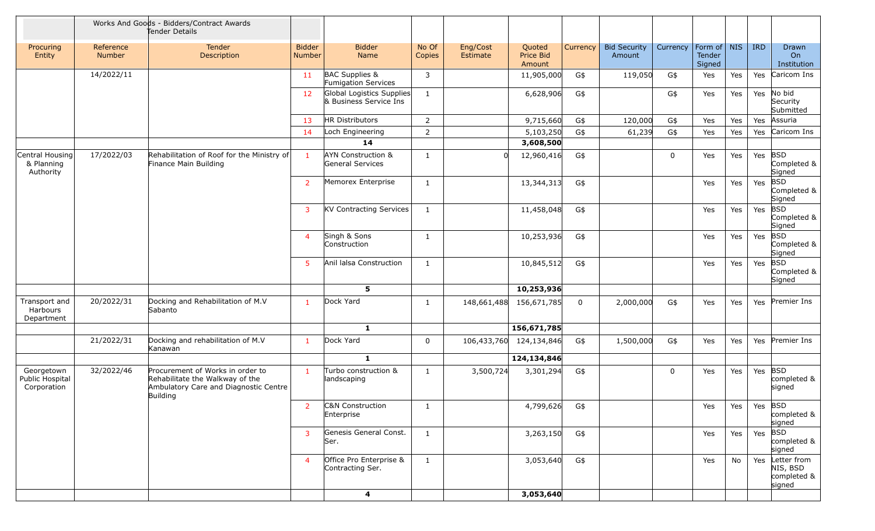|                                              |                            | Works And Goods - Bidders/Contract Awards<br>Tender Details                                                              |                                |                                                     |                 |                      |                               |             |                               |             |                                 |     |            |                                                  |
|----------------------------------------------|----------------------------|--------------------------------------------------------------------------------------------------------------------------|--------------------------------|-----------------------------------------------------|-----------------|----------------------|-------------------------------|-------------|-------------------------------|-------------|---------------------------------|-----|------------|--------------------------------------------------|
| Procuring<br>Entity                          | Reference<br><b>Number</b> | Tender<br>Description                                                                                                    | <b>Bidder</b><br><b>Number</b> | <b>Bidder</b><br>Name                               | No Of<br>Copies | Eng/Cost<br>Estimate | Quoted<br>Price Bid<br>Amount | Currency    | <b>Bid Security</b><br>Amount | Currency    | Form of NIS<br>Tender<br>Signed |     | <b>IRD</b> | <b>Drawn</b><br>On<br>Institution                |
|                                              | 14/2022/11                 |                                                                                                                          | 11                             | BAC Supplies &<br><b>Fumigation Services</b>        | 3               |                      | 11,905,000                    | G\$         | 119,050                       | G\$         | Yes                             | Yes | Yes        | Caricom Ins                                      |
|                                              |                            |                                                                                                                          | 12                             | Global Logistics Supplies<br>& Business Service Ins | $\mathbf{1}$    |                      | 6,628,906                     | G\$         |                               | G\$         | Yes                             | Yes | Yes        | No bid<br>Security<br>Submitted                  |
|                                              |                            |                                                                                                                          | 13                             | <b>HR Distributors</b>                              | $\overline{2}$  |                      | 9,715,660                     | G\$         | 120,000                       | G\$         | Yes                             | Yes | Yes        | Assuria                                          |
|                                              |                            |                                                                                                                          | 14                             | Loch Engineering                                    | $\overline{2}$  |                      | 5,103,250                     | G\$         | 61,239                        | G\$         | Yes                             | Yes | Yes        | Caricom Ins                                      |
|                                              |                            |                                                                                                                          |                                | 14                                                  |                 |                      | 3,608,500                     |             |                               |             |                                 |     |            |                                                  |
| Central Housing<br>& Planning<br>Authority   | 17/2022/03                 | Rehabilitation of Roof for the Ministry of<br>Finance Main Building                                                      |                                | <b>AYN Construction &amp;</b><br>General Services   | $\mathbf{1}$    | $\Omega$             | 12,960,416                    | G\$         |                               | $\mathbf 0$ | Yes                             | Yes | Yes        | <b>BSD</b><br>Completed &<br>Signed              |
|                                              |                            |                                                                                                                          | $\overline{2}$                 | Memorex Enterprise                                  | 1               |                      | 13,344,313                    | G\$         |                               |             | Yes                             | Yes | Yes        | <b>BSD</b><br>Completed &<br>Signed              |
|                                              |                            |                                                                                                                          | 3                              | <b>KV Contracting Services</b>                      | $\mathbf{1}$    |                      | 11,458,048                    | G\$         |                               |             | Yes                             | Yes | Yes        | <b>BSD</b><br>Completed &<br>Signed              |
|                                              |                            |                                                                                                                          | $\overline{4}$                 | Singh & Sons<br>Construction                        | 1               |                      | 10,253,936                    | G\$         |                               |             | Yes                             | Yes | Yes        | <b>BSD</b><br>Completed &<br>Signed              |
|                                              |                            |                                                                                                                          | 5 <sup>1</sup>                 | Anil lalsa Construction                             | $\mathbf{1}$    |                      | 10,845,512                    | G\$         |                               |             | Yes                             | Yes | Yes        | <b>BSD</b><br>Completed &<br>Signed              |
|                                              |                            |                                                                                                                          |                                | 5                                                   |                 |                      | 10,253,936                    |             |                               |             |                                 |     |            |                                                  |
| Transport and<br>Harbours<br>Department      | 20/2022/31                 | Docking and Rehabilitation of M.V<br>Sabanto                                                                             | $\mathbf{1}$                   | Dock Yard                                           | 1               | 148,661,488          | 156,671,785                   | $\mathbf 0$ | 2,000,000                     | G\$         | Yes                             | Yes | Yes        | Premier Ins                                      |
|                                              |                            |                                                                                                                          |                                | 1                                                   |                 |                      | 156,671,785                   |             |                               |             |                                 |     |            |                                                  |
|                                              | 21/2022/31                 | Docking and rehabilitation of M.V<br>Kanawan                                                                             | $\mathbf{1}$                   | Dock Yard                                           | $\mathbf 0$     | 106,433,760          | 124,134,846                   | G\$         | 1,500,000                     | G\$         | Yes                             | Yes | Yes        | Premier Ins                                      |
|                                              |                            |                                                                                                                          |                                | $\mathbf{1}$                                        |                 |                      | 124,134,846                   |             |                               |             |                                 |     |            |                                                  |
| Georgetown<br>Public Hospital<br>Corporation | 32/2022/46                 | Procurement of Works in order to<br>Rehabilitate the Walkway of the<br>Ambulatory Care and Diagnostic Centre<br>Building | -1                             | Turbo construction &<br>landscaping                 | 1               | 3,500,724            | 3,301,294                     | G\$         |                               | $\mathbf 0$ | Yes                             | Yes | Yes        | <b>BSD</b><br>completed &<br>signed              |
|                                              |                            |                                                                                                                          | 2                              | C&N Construction<br>Enterprise                      | $\mathbf{1}$    |                      | 4,799,626                     | G\$         |                               |             | Yes                             | Yes | Yes BSD    | completed &<br>signed                            |
|                                              |                            |                                                                                                                          | 3                              | Genesis General Const.<br>Ser.                      | $\mathbf{1}$    |                      | 3,263,150                     | G\$         |                               |             | Yes                             | Yes |            | Yes BSD<br>completed &<br>signed                 |
|                                              |                            |                                                                                                                          | $\overline{4}$                 | Office Pro Enterprise &<br>Contracting Ser.         | $\mathbf{1}$    |                      | 3,053,640                     | G\$         |                               |             | Yes                             | No  | Yes        | Letter from<br>NIS, BSD<br>completed &<br>signed |
|                                              |                            |                                                                                                                          |                                | 4                                                   |                 |                      | 3,053,640                     |             |                               |             |                                 |     |            |                                                  |
|                                              |                            |                                                                                                                          |                                |                                                     |                 |                      |                               |             |                               |             |                                 |     |            |                                                  |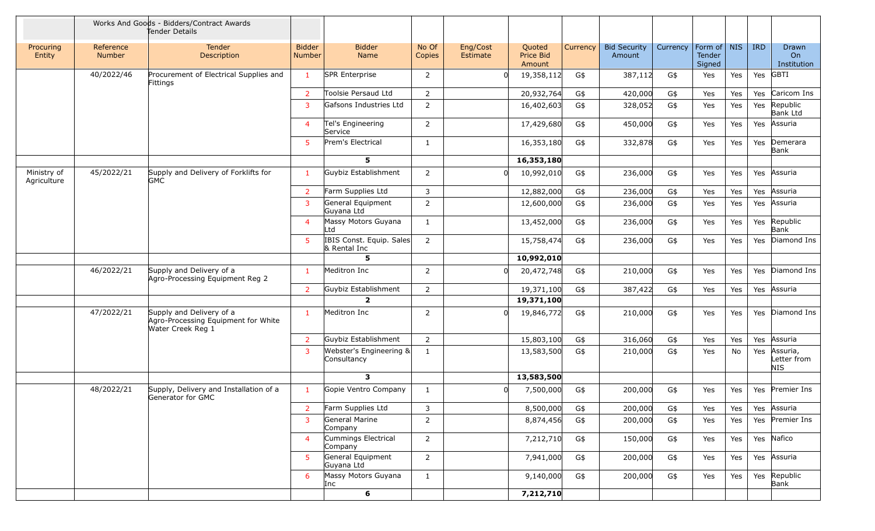|                            |                     | Works And Goods - Bidders/Contract Awards<br>Tender Details                          |                                |                                          |                 |                      |                               |          |                               |          |                                 |     |            |                                |
|----------------------------|---------------------|--------------------------------------------------------------------------------------|--------------------------------|------------------------------------------|-----------------|----------------------|-------------------------------|----------|-------------------------------|----------|---------------------------------|-----|------------|--------------------------------|
| Procuring<br>Entity        | Reference<br>Number | Tender<br>Description                                                                | <b>Bidder</b><br><b>Number</b> | <b>Bidder</b><br>Name                    | No Of<br>Copies | Eng/Cost<br>Estimate | Quoted<br>Price Bid<br>Amount | Currency | <b>Bid Security</b><br>Amount | Currency | Form of NIS<br>Tender<br>Signed |     | <b>IRD</b> | Drawn<br>On<br>Institution     |
|                            | 40/2022/46          | Procurement of Electrical Supplies and<br>Fittings                                   | $\mathbf{1}$                   | SPR Enterprise                           | $\overline{2}$  | $\Omega$             | 19,358,112                    | G\$      | 387,112                       | G\$      | Yes                             | Yes | Yes        | <b>GBTI</b>                    |
|                            |                     |                                                                                      | $\overline{2}$                 | Toolsie Persaud Ltd                      | $\overline{2}$  |                      | 20,932,764                    | G\$      | 420,000                       | G\$      | Yes                             | Yes | Yes        | Caricom Ins                    |
|                            |                     |                                                                                      | $\overline{3}$                 | Gafsons Industries Ltd                   | $\overline{2}$  |                      | 16,402,603                    | G\$      | 328,052                       | G\$      | Yes                             | Yes | Yes        | Republic<br><b>Bank Ltd</b>    |
|                            |                     |                                                                                      | $\overline{4}$                 | Tel's Engineering<br>Service             | $\overline{2}$  |                      | 17,429,680                    | G\$      | 450,000                       | G\$      | Yes                             | Yes | Yes        | Assuria                        |
|                            |                     |                                                                                      | 5                              | Prem's Electrical                        | $\mathbf{1}$    |                      | 16,353,180                    | G\$      | 332,878                       | G\$      | Yes                             | Yes | Yes        | Demerara<br>Bank               |
|                            |                     |                                                                                      |                                | 5                                        |                 |                      | 16,353,180                    |          |                               |          |                                 |     |            |                                |
| Ministry of<br>Agriculture | 45/2022/21          | Supply and Delivery of Forklifts for<br><b>GMC</b>                                   | $\mathbf{1}$                   | Guybiz Establishment                     | $\overline{2}$  |                      | 10,992,010                    | G\$      | 236,000                       | G\$      | Yes                             | Yes | Yes        | Assuria                        |
|                            |                     |                                                                                      | $\overline{2}$                 | Farm Supplies Ltd                        | 3               |                      | 12,882,000                    | G\$      | 236,000                       | G\$      | Yes                             | Yes | Yes        | Assuria                        |
|                            |                     |                                                                                      | $\overline{3}$                 | General Equipment<br>Guyana Ltd          | $\overline{2}$  |                      | 12,600,000                    | G\$      | 236,000                       | G\$      | Yes                             | Yes | Yes        | Assuria                        |
|                            |                     |                                                                                      | $\overline{4}$                 | Massy Motors Guyana<br>Ltd               | $\mathbf{1}$    |                      | 13,452,000                    | G\$      | 236,000                       | G\$      | Yes                             | Yes | Yes        | Republic<br>Bank               |
|                            |                     |                                                                                      | 5                              | IBIS Const. Equip. Sales<br>& Rental Inc | $\overline{2}$  |                      | 15,758,474                    | G\$      | 236,000                       | G\$      | Yes                             | Yes | Yes        | Diamond Ins                    |
|                            |                     |                                                                                      |                                | 5                                        |                 |                      | 10,992,010                    |          |                               |          |                                 |     |            |                                |
|                            | 46/2022/21          | Supply and Delivery of a<br>Agro-Processing Equipment Reg 2                          | $\mathbf{1}$                   | Meditron Inc                             | $\overline{2}$  |                      | 20,472,748                    | G\$      | 210,000                       | G\$      | Yes                             | Yes | Yes        | Diamond Ins                    |
|                            |                     |                                                                                      | $\overline{2}$                 | Guybiz Establishment                     | $\overline{2}$  |                      | 19,371,100                    | G\$      | 387,422                       | G\$      | Yes                             | Yes | Yes        | Assuria                        |
|                            |                     |                                                                                      |                                | $\overline{2}$                           |                 |                      | 19,371,100                    |          |                               |          |                                 |     |            |                                |
|                            | 47/2022/21          | Supply and Delivery of a<br>Agro-Processing Equipment for White<br>Water Creek Reg 1 | $\mathbf{1}$                   | Meditron Inc                             | $\overline{2}$  |                      | 19,846,772                    | G\$      | 210,000                       | G\$      | Yes                             | Yes | Yes        | Diamond Ins                    |
|                            |                     |                                                                                      | $\overline{2}$                 | Guybiz Establishment                     | $\overline{2}$  |                      | 15,803,100                    | G\$      | 316,060                       | G\$      | Yes                             | Yes | Yes        | Assuria                        |
|                            |                     |                                                                                      | $\overline{3}$                 | Webster's Engineering &<br>Consultancy   | $\mathbf{1}$    |                      | 13,583,500                    | G\$      | 210,000                       | G\$      | Yes                             | No  | Yes        | Assuria,<br>Letter from<br>NIS |
|                            |                     |                                                                                      |                                | $\overline{\mathbf{3}}$                  |                 |                      | 13,583,500                    |          |                               |          |                                 |     |            |                                |
|                            | 48/2022/21          | Supply, Delivery and Installation of a<br>Generator for GMC                          | $\mathbf{1}$                   | Gopie Ventro Company                     | $\mathbf{1}$    |                      | 7,500,000                     | G\$      | 200,000                       | G\$      | Yes                             | Yes | Yes        | Premier Ins                    |
|                            |                     |                                                                                      | $\overline{2}$                 | Farm Supplies Ltd                        | 3               |                      | 8,500,000                     | G\$      | 200,000                       | G\$      | Yes                             | Yes |            | Yes Assuria                    |
|                            |                     |                                                                                      | $\overline{3}$                 | General Marine<br>Company                | $\overline{2}$  |                      | 8,874,456                     | G\$      | 200,000                       | G\$      | Yes                             | Yes |            | Yes Premier Ins                |
|                            |                     |                                                                                      | $\overline{4}$                 | Cummings Electrical<br>Company           | $2^{\circ}$     |                      | 7,212,710                     | G\$      | 150,000                       | G\$      | Yes                             | Yes |            | Yes Nafico                     |
|                            |                     |                                                                                      | 5 <sup>1</sup>                 | General Equipment<br>Guyana Ltd          | $2^{\circ}$     |                      | 7,941,000                     | G\$      | 200,000                       | G\$      | Yes                             | Yes |            | Yes Assuria                    |
|                            |                     |                                                                                      | 6                              | Massy Motors Guyana<br>Inc               | $\mathbf{1}$    |                      | 9,140,000                     | G\$      | 200,000                       | G\$      | Yes                             | Yes |            | Yes Republic<br>Bank           |
|                            |                     |                                                                                      |                                | $6\phantom{1}$                           |                 |                      | 7,212,710                     |          |                               |          |                                 |     |            |                                |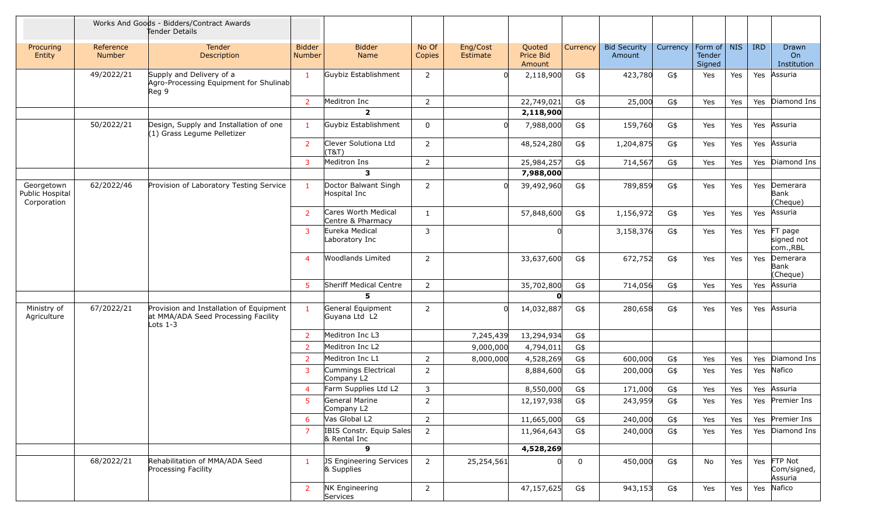|                                              |                            | Works And Goods - Bidders/Contract Awards<br>Tender Details                                  |                                |                                          |                 |                      |                               |             |                               |          |                                 |     |            |                                   |
|----------------------------------------------|----------------------------|----------------------------------------------------------------------------------------------|--------------------------------|------------------------------------------|-----------------|----------------------|-------------------------------|-------------|-------------------------------|----------|---------------------------------|-----|------------|-----------------------------------|
| Procuring<br>Entity                          | Reference<br><b>Number</b> | Tender<br>Description                                                                        | <b>Bidder</b><br><b>Number</b> | <b>Bidder</b><br>Name                    | No Of<br>Copies | Eng/Cost<br>Estimate | Quoted<br>Price Bid<br>Amount | Currency    | <b>Bid Security</b><br>Amount | Currency | Form of NIS<br>Tender<br>Signed |     | <b>IRD</b> | <b>Drawn</b><br>On<br>Institution |
|                                              | 49/2022/21                 | Supply and Delivery of a<br>Agro-Processing Equipment for Shulinab<br>Reg <sub>9</sub>       | $\mathbf{1}$                   | Guybiz Establishment                     | $\overline{2}$  | $\Omega$             | 2,118,900                     | G\$         | 423,780                       | G\$      | Yes                             | Yes | Yes        | Assuria                           |
|                                              |                            |                                                                                              | $\overline{2}$                 | Meditron Inc                             | $\overline{2}$  |                      | 22,749,021                    | G\$         | 25,000                        | G\$      | Yes                             | Yes | Yes        | Diamond Ins                       |
|                                              |                            |                                                                                              |                                | $\overline{2}$                           |                 |                      | 2,118,900                     |             |                               |          |                                 |     |            |                                   |
|                                              | 50/2022/21                 | Design, Supply and Installation of one<br>(1) Grass Legume Pelletizer                        | $\mathbf{1}$                   | Guybiz Establishment                     | 0               |                      | 7,988,000                     | G\$         | 159,760                       | G\$      | Yes                             | Yes | Yes        | Assuria                           |
|                                              |                            |                                                                                              | $\overline{2}$                 | Clever Solutiona Ltd<br>(T&T)            | $\overline{2}$  |                      | 48,524,280                    | G\$         | 1,204,875                     | G\$      | Yes                             | Yes | Yes        | Assuria                           |
|                                              |                            |                                                                                              | $\mathbf{3}$                   | Meditron Ins                             | $\overline{2}$  |                      | 25,984,257                    | G\$         | 714,567                       | G\$      | Yes                             | Yes | Yes        | Diamond Ins                       |
|                                              |                            |                                                                                              |                                | $\mathbf{3}$                             |                 |                      | 7,988,000                     |             |                               |          |                                 |     |            |                                   |
| Georgetown<br>Public Hospital<br>Corporation | 62/2022/46                 | Provision of Laboratory Testing Service                                                      | 1                              | Doctor Balwant Singh<br>Hospital Inc     | $\overline{2}$  | n                    | 39,492,960                    | G\$         | 789,859                       | G\$      | Yes                             | Yes | Yes        | Demerara<br>Bank<br>(Cheque)      |
|                                              |                            |                                                                                              | 2                              | Cares Worth Medical<br>Centre & Pharmacy | 1               |                      | 57,848,600                    | G\$         | 1,156,972                     | G\$      | Yes                             | Yes | Yes        | Assuria                           |
|                                              |                            |                                                                                              | 3                              | Eureka Medical<br>Laboratory Inc         | 3               |                      |                               |             | 3,158,376                     | G\$      | Yes                             | Yes | Yes        | FT page<br>signed not<br>com.,RBL |
|                                              |                            |                                                                                              | $\overline{4}$                 | <b>Woodlands Limited</b>                 | $\overline{2}$  |                      | 33,637,600                    | G\$         | 672,752                       | G\$      | Yes                             | Yes | Yes        | Demerara<br>Bank<br>(Cheque)      |
|                                              |                            |                                                                                              | 5                              | Sheriff Medical Centre                   | $\overline{2}$  |                      | 35,702,800                    | G\$         | 714,056                       | G\$      | Yes                             | Yes | Yes        | Assuria                           |
|                                              |                            |                                                                                              |                                | $5^{\circ}$                              |                 |                      |                               |             |                               |          |                                 |     |            |                                   |
| Ministry of<br>Agriculture                   | 67/2022/21                 | Provision and Installation of Equipment<br>at MMA/ADA Seed Processing Facility<br>Lots $1-3$ | $\mathbf{1}$                   | General Equipment<br>Guyana Ltd L2       | $\overline{2}$  | <sup>0</sup>         | 14,032,887                    | G\$         | 280,658                       | G\$      | Yes                             | Yes | Yes        | Assuria                           |
|                                              |                            |                                                                                              | $\overline{2}$                 | Meditron Inc L3                          |                 | 7,245,439            | 13,294,934                    | G\$         |                               |          |                                 |     |            |                                   |
|                                              |                            |                                                                                              | $\overline{2}$                 | Meditron Inc L2                          |                 | 9,000,000            | 4,794,011                     | G\$         |                               |          |                                 |     |            |                                   |
|                                              |                            |                                                                                              | $\overline{2}$                 | Meditron Inc L1                          | $\overline{2}$  | 8,000,000            | 4,528,269                     | G\$         | 600,000                       | G\$      | Yes                             | Yes | Yes        | Diamond Ins                       |
|                                              |                            |                                                                                              | 3                              | Cummings Electrical<br>Company L2        | $\overline{2}$  |                      | 8,884,600                     | G\$         | 200,000                       | G\$      | Yes                             | Yes | Yes        | Nafico                            |
|                                              |                            |                                                                                              | $\overline{4}$                 | Farm Supplies Ltd L2                     | 3               |                      | 8,550,000                     | G\$         | 171,000                       | G\$      | Yes                             | Yes | Yes        | Assuria                           |
|                                              |                            |                                                                                              | 5.                             | General Marine<br>Company L2             | $\overline{2}$  |                      | 12,197,938                    | G\$         | 243,959                       | G\$      | Yes                             | Yes |            | Yes Premier Ins                   |
|                                              |                            |                                                                                              | 6                              | Vas Global L2                            | $\overline{2}$  |                      | 11,665,000                    | G\$         | 240,000                       | G\$      | Yes                             | Yes | Yes        | Premier Ins                       |
|                                              |                            |                                                                                              | 7                              | IBIS Constr. Equip Sales<br>& Rental Inc | $\overline{2}$  |                      | 11,964,643                    | G\$         | 240,000                       | G\$      | Yes                             | Yes |            | Yes Diamond Ins                   |
|                                              |                            |                                                                                              |                                | $\mathbf{9}$                             |                 |                      | 4,528,269                     |             |                               |          |                                 |     |            |                                   |
|                                              | 68/2022/21                 | Rehabilitation of MMA/ADA Seed<br>Processing Facility                                        |                                | JS Engineering Services<br>& Supplies    | $\overline{2}$  | 25,254,561           | 0                             | $\mathbf 0$ | 450,000                       | G\$      | No                              | Yes | Yes        | FTP Not<br>Com/signed,<br>Assuria |
|                                              |                            |                                                                                              | $\overline{2}$                 | NK Engineering<br>Services               | $\overline{2}$  |                      | 47,157,625                    | G\$         | 943,153                       | G\$      | Yes                             | Yes | Yes        | Nafico                            |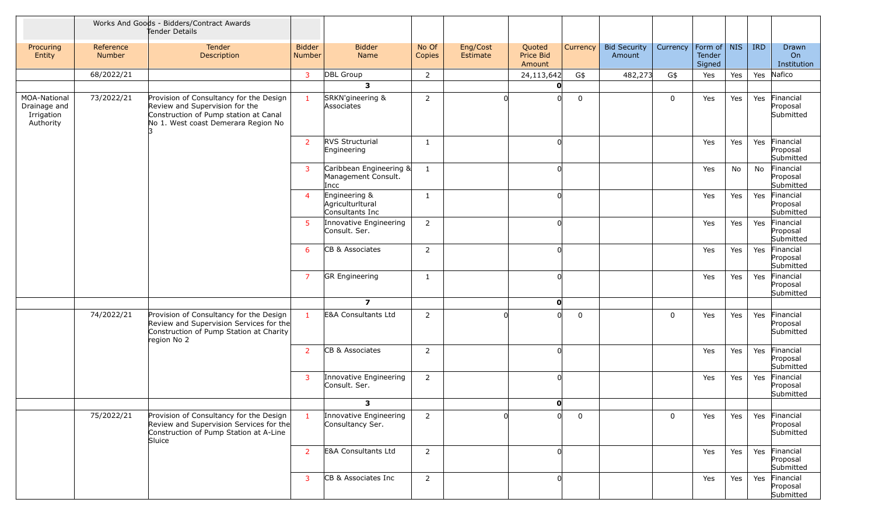|                                                         |                     | Works And Goods - Bidders/Contract Awards<br>Tender Details                                                                                               |                         |                                                        |                 |                      |                               |             |                               |          |                                   |     |                                        |                                        |
|---------------------------------------------------------|---------------------|-----------------------------------------------------------------------------------------------------------------------------------------------------------|-------------------------|--------------------------------------------------------|-----------------|----------------------|-------------------------------|-------------|-------------------------------|----------|-----------------------------------|-----|----------------------------------------|----------------------------------------|
| Procuring<br>Entity                                     | Reference<br>Number | Tender<br>Description                                                                                                                                     | <b>Bidder</b><br>Number | <b>Bidder</b><br>Name                                  | No Of<br>Copies | Eng/Cost<br>Estimate | Quoted<br>Price Bid<br>Amount | Currency    | <b>Bid Security</b><br>Amount | Currency | Form of   NIS<br>Tender<br>Signed |     | <b>IRD</b>                             | Drawn<br>On<br>Institution             |
|                                                         | 68/2022/21          |                                                                                                                                                           | $\mathbf{3}$            | DBL Group                                              | 2               |                      | 24,113,642                    | G\$         | 482,273                       | G\$      | Yes                               | Yes |                                        | Yes Nafico                             |
|                                                         |                     |                                                                                                                                                           |                         | $\overline{\mathbf{3}}$                                |                 |                      | O                             |             |                               |          |                                   |     |                                        |                                        |
| MOA-National<br>Drainage and<br>Irrigation<br>Authority | 73/2022/21          | Provision of Consultancy for the Design<br>Review and Supervision for the<br>Construction of Pump station at Canal<br>No 1. West coast Demerara Region No | $\blacksquare$          | SRKN'gineering &<br>Associates                         | $\overline{2}$  | U                    |                               | $\mathbf 0$ |                               | 0        | Yes                               | Yes | Yes                                    | Financial<br>Proposal<br>Submitted     |
|                                                         |                     |                                                                                                                                                           | $\overline{2}$          | RVS Structurial<br>Engineering                         | 1               |                      |                               |             |                               |          | Yes                               | Yes | Yes                                    | Financial<br>Proposal<br>Submitted     |
|                                                         |                     |                                                                                                                                                           | 3                       | Caribbean Engineering &<br>Management Consult.<br>Incc | 1               |                      | U                             |             |                               |          | Yes                               | No  | No                                     | Financial<br>Proposal<br>Submitted     |
|                                                         |                     |                                                                                                                                                           | $\overline{4}$          | Engineering &<br>Agriculturltural<br>Consultants Inc   | $\mathbf{1}$    |                      | U                             |             |                               |          | Yes                               | Yes | Yes                                    | Financial<br>Proposal<br>Submitted     |
|                                                         |                     |                                                                                                                                                           | 5                       | Innovative Engineering<br>Consult. Ser.                | $\overline{2}$  |                      | U                             |             |                               |          | Yes                               | Yes | Yes                                    | Financial<br>Proposal<br>Submitted     |
|                                                         |                     |                                                                                                                                                           | 6                       | CB & Associates                                        | $\overline{2}$  |                      | 0                             |             |                               |          | Yes                               | Yes |                                        | Yes Financial<br>Proposal<br>Submitted |
|                                                         |                     |                                                                                                                                                           | $\overline{7}$          | <b>GR Engineering</b>                                  | $\mathbf{1}$    |                      | O                             |             |                               |          | Yes                               | Yes | Yes                                    | Financial<br>Proposal<br>Submitted     |
|                                                         |                     |                                                                                                                                                           |                         | $\overline{z}$                                         |                 |                      | $\mathbf{0}$                  |             |                               |          |                                   |     |                                        |                                        |
|                                                         | 74/2022/21          | Provision of Consultancy for the Design<br>Review and Supervision Services for the<br>Construction of Pump Station at Charity<br>region No 2              | $\mathbf{1}$            | E&A Consultants Ltd                                    | $\overline{2}$  | $\Omega$             | U                             | $\mathbf 0$ |                               | 0        | Yes                               | Yes | Yes                                    | Financial<br>Proposal<br>Submitted     |
|                                                         |                     |                                                                                                                                                           | $\overline{2}$          | CB & Associates                                        | $\overline{2}$  |                      | 0                             |             |                               |          | Yes                               | Yes | Yes                                    | Financial<br>Proposal<br>Submitted     |
|                                                         |                     |                                                                                                                                                           | 3                       | Innovative Engineering<br>Consult. Ser.                | $\overline{2}$  |                      | 0                             |             |                               |          | Yes                               | Yes | Yes                                    | Financial<br>Proposal<br>Submitted     |
|                                                         |                     |                                                                                                                                                           |                         | $\overline{\mathbf{3}}$                                |                 |                      | 0                             |             |                               |          |                                   |     |                                        |                                        |
| 75/2022/21                                              |                     | Provision of Consultancy for the Design<br>Review and Supervision Services for the<br>Construction of Pump Station at A-Line<br>Sluice                    | $\mathbf{1}$            | Innovative Engineering<br>Consultancy Ser.             | $\overline{2}$  |                      |                               | $\mathbf 0$ |                               | 0        | Yes                               | Yes |                                        | Yes Financial<br>Proposal<br>Submitted |
|                                                         |                     | $\overline{2}$                                                                                                                                            | E&A Consultants Ltd     | $\overline{2}$                                         |                 |                      |                               |             |                               | Yes      | Yes                               |     | Yes Financial<br>Proposal<br>Submitted |                                        |
|                                                         |                     |                                                                                                                                                           | 3                       | CB & Associates Inc                                    | $\overline{2}$  |                      |                               |             |                               |          | Yes                               | Yes |                                        | Yes Financial<br>Proposal<br>Submitted |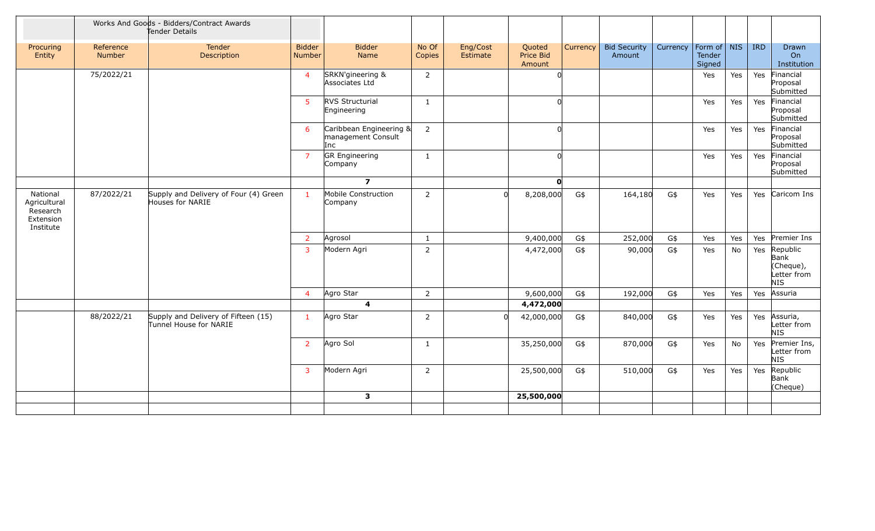|                                                                |                     | Works And Goods - Bidders/Contract Awards<br>Tender Details   |                                |                                                      |                 |                      |                               |          |                               |          |                                 |     |                                                             |
|----------------------------------------------------------------|---------------------|---------------------------------------------------------------|--------------------------------|------------------------------------------------------|-----------------|----------------------|-------------------------------|----------|-------------------------------|----------|---------------------------------|-----|-------------------------------------------------------------|
| Procuring<br>Entity                                            | Reference<br>Number | Tender<br>Description                                         | <b>Bidder</b><br><b>Number</b> | <b>Bidder</b><br>Name                                | No Of<br>Copies | Eng/Cost<br>Estimate | Quoted<br>Price Bid<br>Amount | Currency | <b>Bid Security</b><br>Amount | Currency | Form of NIS<br>Tender<br>Signed |     | <b>IRD</b><br><b>Drawn</b><br>O <sub>n</sub><br>Institution |
|                                                                | 75/2022/21          |                                                               | $\overline{4}$                 | SRKN'gineering &<br>Associates Ltd                   | 2               |                      |                               |          |                               |          | Yes                             | Yes | Yes<br>Financial<br>Proposal<br>Submitted                   |
|                                                                |                     |                                                               | 5 <sup>1</sup>                 | RVS Structurial<br>Engineering                       | $\mathbf{1}$    |                      |                               |          |                               |          | Yes                             | Yes | Financial<br>Yes<br>Proposal<br>Submitted                   |
|                                                                |                     |                                                               | 6                              | Caribbean Engineering &<br>management Consult<br>Inc | $\overline{2}$  |                      | <sup>0</sup>                  |          |                               |          | Yes                             | Yes | Financial<br>Yes<br>Proposal<br>Submitted                   |
|                                                                |                     |                                                               | $\overline{7}$                 | <b>GR</b> Engineering<br>Company                     | $\mathbf{1}$    |                      | <sup>n</sup>                  |          |                               |          | Yes                             | Yes | Financial<br>Yes<br>Proposal<br>Submitted                   |
|                                                                |                     |                                                               |                                | $\overline{7}$                                       |                 |                      | O                             |          |                               |          |                                 |     |                                                             |
| National<br>Agricultural<br>Research<br>Extension<br>Institute | 87/2022/21          | Supply and Delivery of Four (4) Green<br>Houses for NARIE     | $\mathbf{1}$                   | Mobile Construction<br>Company                       | $\overline{2}$  |                      | 8,208,000                     | G\$      | 164,180                       | G\$      | Yes                             | Yes | Yes Caricom Ins                                             |
|                                                                |                     |                                                               | $\overline{2}$                 | Agrosol                                              | $\mathbf{1}$    |                      | 9,400,000                     | G\$      | 252,000                       | G\$      | Yes                             | Yes | Premier Ins<br>Yes                                          |
|                                                                |                     |                                                               | $\overline{3}$                 | Modern Agri                                          | 2               |                      | 4,472,000                     | G\$      | 90,000                        | G\$      | Yes                             | No  | Republic<br>Yes<br>Bank<br>(Cheque),<br>Letter from<br>NIS  |
|                                                                |                     |                                                               | $\overline{4}$                 | Agro Star                                            | $\overline{2}$  |                      | 9,600,000                     | G\$      | 192,000                       | G\$      | Yes                             | Yes | Assuria<br>Yes                                              |
|                                                                |                     |                                                               |                                | $\overline{4}$                                       |                 |                      | 4,472,000                     |          |                               |          |                                 |     |                                                             |
|                                                                | 88/2022/21          | Supply and Delivery of Fifteen (15)<br>Tunnel House for NARIE | $\mathbf{1}$                   | Agro Star                                            | $\overline{2}$  | $\Omega$             | 42,000,000                    | G\$      | 840,000                       | G\$      | Yes                             | Yes | Assuria,<br>Yes<br>Letter from<br>NIS                       |
|                                                                |                     |                                                               | $\overline{2}$                 | Agro Sol                                             | $\mathbf{1}$    |                      | 35,250,000                    | G\$      | 870,000                       | G\$      | Yes                             | No  | Premier Ins,<br>Yes<br>Letter from<br>NIS                   |
|                                                                |                     |                                                               | $\overline{3}$                 | Modern Agri                                          | $\overline{2}$  |                      | 25,500,000                    | G\$      | 510,000                       | G\$      | Yes                             | Yes | Republic<br>Yes<br>Bank<br>(Cheque)                         |
|                                                                |                     |                                                               |                                | $\mathbf{3}$                                         |                 |                      | 25,500,000                    |          |                               |          |                                 |     |                                                             |
|                                                                |                     |                                                               |                                |                                                      |                 |                      |                               |          |                               |          |                                 |     |                                                             |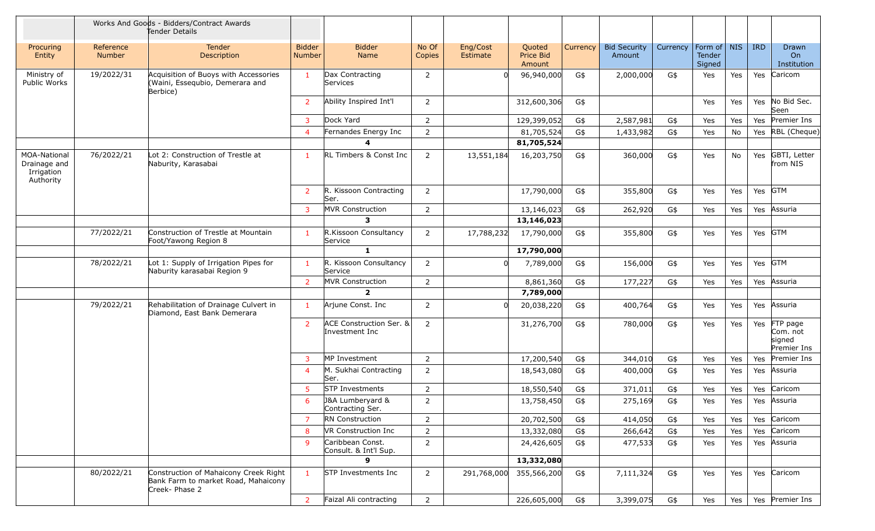|                                                         |                     | Works And Goods - Bidders/Contract Awards<br>Tender Details                                    |                         |                                           |                 |                      |                               |          |                               |          |                                 |     |            |                                               |
|---------------------------------------------------------|---------------------|------------------------------------------------------------------------------------------------|-------------------------|-------------------------------------------|-----------------|----------------------|-------------------------------|----------|-------------------------------|----------|---------------------------------|-----|------------|-----------------------------------------------|
| Procuring<br>Entity                                     | Reference<br>Number | <b>Tender</b><br>Description                                                                   | <b>Bidder</b><br>Number | <b>Bidder</b><br>Name                     | No Of<br>Copies | Eng/Cost<br>Estimate | Quoted<br>Price Bid<br>Amount | Currency | <b>Bid Security</b><br>Amount | Currency | Form of NIS<br>Tender<br>Signed |     | <b>IRD</b> | <b>Drawn</b><br>On<br>Institution             |
| Ministry of<br>Public Works                             | 19/2022/31          | Acquisition of Buoys with Accessories<br>(Waini, Essequbio, Demerara and<br>Berbice)           | $\mathbf{1}$            | Dax Contracting<br>Services               | $\overline{2}$  |                      | 96,940,000                    | G\$      | 2,000,000                     | G\$      | Yes                             | Yes | Yes        | Caricom                                       |
|                                                         |                     |                                                                                                | $\overline{2}$          | Ability Inspired Int'l                    | $\overline{2}$  |                      | 312,600,306                   | G\$      |                               |          | Yes                             | Yes | Yes        | No Bid Sec.<br>Seen                           |
|                                                         |                     |                                                                                                | 3                       | Dock Yard                                 | $\overline{2}$  |                      | 129,399,052                   | G\$      | 2,587,981                     | G\$      | Yes                             | Yes | Yes        | Premier Ins                                   |
|                                                         |                     |                                                                                                | 4                       | Fernandes Energy Inc                      | $\overline{2}$  |                      | 81,705,524                    | G\$      | 1,433,982                     | G\$      | Yes                             | No  | Yes        | RBL (Cheque)                                  |
|                                                         |                     |                                                                                                |                         |                                           |                 |                      | 81,705,524                    |          |                               |          |                                 |     |            |                                               |
| MOA-National<br>Drainage and<br>Irrigation<br>Authority | 76/2022/21          | Lot 2: Construction of Trestle at<br>Naburity, Karasabai                                       | 1                       | RL Timbers & Const Inc                    | $\overline{2}$  | 13,551,184           | 16,203,750                    | G\$      | 360,000                       | G\$      | Yes                             | No  | Yes        | GBTI, Letter<br>from NIS                      |
|                                                         |                     |                                                                                                | $\overline{2}$          | R. Kissoon Contracting<br>Ser.            | $\overline{2}$  |                      | 17,790,000                    | G\$      | 355,800                       | G\$      | Yes                             | Yes |            | Yes GTM                                       |
|                                                         |                     |                                                                                                | 3                       | MVR Construction                          | $\overline{2}$  |                      | 13,146,023                    | G\$      | 262,920                       | G\$      | Yes                             | Yes | Yes        | Assuria                                       |
|                                                         |                     |                                                                                                |                         | 3                                         |                 |                      | 13,146,023                    |          |                               |          |                                 |     |            |                                               |
|                                                         | 77/2022/21          | Construction of Trestle at Mountain<br>Foot/Yawong Region 8                                    | $\mathbf{1}$            | R.Kissoon Consultancy<br>Service          | $\overline{2}$  | 17,788,232           | 17,790,000                    | G\$      | 355,800                       | G\$      | Yes                             | Yes |            | Yes GTM                                       |
|                                                         |                     |                                                                                                |                         | $\mathbf{1}$                              |                 |                      | 17,790,000                    |          |                               |          |                                 |     |            |                                               |
|                                                         | 78/2022/21          | Lot 1: Supply of Irrigation Pipes for<br>Naburity karasabai Region 9                           | 1.                      | R. Kissoon Consultancy<br>Service         | $\overline{2}$  |                      | 7,789,000                     | G\$      | 156,000                       | G\$      | Yes                             | Yes |            | Yes GTM                                       |
|                                                         |                     |                                                                                                | 2 <sup>1</sup>          | <b>MVR Construction</b>                   | $\overline{2}$  |                      | 8,861,360                     | G\$      | 177,227                       | G\$      | Yes                             | Yes | Yes        | Assuria                                       |
|                                                         |                     |                                                                                                |                         | $\overline{2}$                            |                 |                      | 7,789,000                     |          |                               |          |                                 |     |            |                                               |
|                                                         | 79/2022/21          | Rehabilitation of Drainage Culvert in<br>Diamond, East Bank Demerara                           | 1                       | Arjune Const. Inc                         | $\overline{2}$  |                      | 20,038,220                    | G\$      | 400,764                       | G\$      | Yes                             | Yes | Yes        | Assuria                                       |
|                                                         |                     |                                                                                                | $\overline{2}$          | ACE Construction Ser. &<br>Investment Inc | $\overline{2}$  |                      | 31,276,700                    | G\$      | 780,000                       | G\$      | Yes                             | Yes | Yes        | FTP page<br>Com. not<br>signed<br>Premier Ins |
|                                                         |                     |                                                                                                | 3                       | MP Investment                             | $\overline{2}$  |                      | 17,200,540                    | G\$      | 344,010                       | G\$      | Yes                             | Yes | Yes        | Premier Ins                                   |
|                                                         |                     |                                                                                                | 4                       | M. Sukhai Contracting<br>Ser.             | $\overline{2}$  |                      | 18,543,080                    | G\$      | 400,000                       | G\$      | Yes                             | Yes | Yes        | Assuria                                       |
|                                                         |                     |                                                                                                | 5.                      | <b>STP Investments</b>                    | $\overline{2}$  |                      | 18,550,540                    | G\$      | 371,011                       | G\$      | Yes                             | Yes | Yes        | Caricom                                       |
|                                                         |                     |                                                                                                | 6                       | J&A Lumberyard &<br>Contracting Ser.      | $\overline{2}$  |                      | 13,758,450                    | G\$      | 275,169                       | G\$      | Yes                             | Yes | Yes        | Assuria                                       |
|                                                         |                     |                                                                                                | $\overline{7}$          | RN Construction                           | $\overline{2}$  |                      | 20,702,500                    | G\$      | 414,050                       | G\$      | Yes                             | Yes | Yes        | Caricom                                       |
|                                                         |                     |                                                                                                | 8                       | VR Construction Inc                       | $\overline{2}$  |                      | 13,332,080                    | G\$      | 266,642                       | G\$      | Yes                             | Yes | Yes        | Caricom                                       |
|                                                         |                     |                                                                                                | 9                       | Caribbean Const.<br>Consult. & Int'l Sup. | $\overline{2}$  |                      | 24,426,605                    | G\$      | 477,533                       | G\$      | Yes                             | Yes | Yes        | Assuria                                       |
|                                                         |                     |                                                                                                |                         | 9                                         |                 |                      | 13,332,080                    |          |                               |          |                                 |     |            |                                               |
|                                                         | 80/2022/21          | Construction of Mahaicony Creek Right<br>Bank Farm to market Road, Mahaicony<br>Creek- Phase 2 | $\mathbf{1}$            | STP Investments Inc                       | $\overline{2}$  | 291,768,000          | 355,566,200                   | G\$      | 7,111,324                     | G\$      | Yes                             | Yes |            | Yes Caricom                                   |
|                                                         |                     |                                                                                                | 2 <sup>7</sup>          | Faizal Ali contracting                    | $\overline{2}$  |                      | 226,605,000                   | G\$      | 3,399,075                     | G\$      | Yes                             | Yes |            | Yes Premier Ins                               |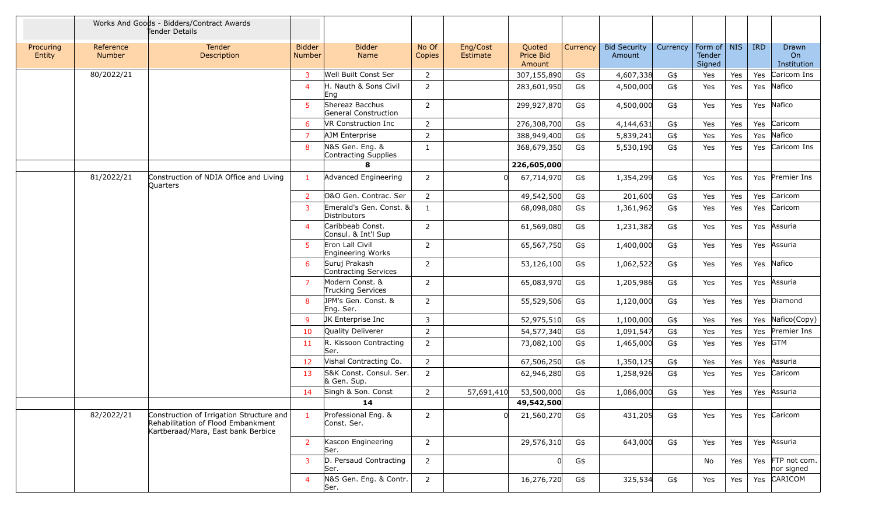|                     |                     | Works And Goods - Bidders/Contract Awards<br>Tender Details                                                          |                                |                                         |                 |                      |                               |          |                               |          |                                 |     |            |                                |
|---------------------|---------------------|----------------------------------------------------------------------------------------------------------------------|--------------------------------|-----------------------------------------|-----------------|----------------------|-------------------------------|----------|-------------------------------|----------|---------------------------------|-----|------------|--------------------------------|
| Procuring<br>Entity | Reference<br>Number | Tender<br>Description                                                                                                | <b>Bidder</b><br><b>Number</b> | <b>Bidder</b><br>Name                   | No Of<br>Copies | Eng/Cost<br>Estimate | Quoted<br>Price Bid<br>Amount | Currency | <b>Bid Security</b><br>Amount | Currency | Form of NIS<br>Tender<br>Signed |     | <b>IRD</b> | Drawn<br>On<br>Institution     |
|                     | 80/2022/21          |                                                                                                                      | $\mathbf{3}$                   | Well Built Const Ser                    | $\overline{2}$  |                      | 307,155,890                   | G\$      | 4,607,338                     | G\$      | Yes                             | Yes | Yes        | Caricom Ins                    |
|                     |                     |                                                                                                                      | $\overline{4}$                 | H. Nauth & Sons Civil<br>Eng            | $\overline{2}$  |                      | 283,601,950                   | G\$      | 4,500,000                     | G\$      | Yes                             | Yes |            | Yes Nafico                     |
|                     |                     |                                                                                                                      | -5                             | Shereaz Bacchus<br>General Construction | $\overline{2}$  |                      | 299,927,870                   | G\$      | 4,500,000                     | G\$      | Yes                             | Yes |            | Yes Nafico                     |
|                     |                     |                                                                                                                      | 6                              | VR Construction Inc                     | $\overline{2}$  |                      | 276,308,700                   | G\$      | 4,144,631                     | G\$      | Yes                             | Yes | Yes        | Caricom                        |
|                     |                     |                                                                                                                      | 7                              | AJM Enterprise                          | $\overline{2}$  |                      | 388,949,400                   | G\$      | 5,839,241                     | G\$      | Yes                             | Yes | Yes        | Nafico                         |
|                     |                     |                                                                                                                      | 8                              | N&S Gen. Eng. &<br>Contracting Supplies | $\mathbf{1}$    |                      | 368,679,350                   | G\$      | 5,530,190                     | G\$      | Yes                             | Yes |            | Yes Caricom Ins                |
|                     |                     |                                                                                                                      |                                | 8                                       |                 |                      | 226,605,000                   |          |                               |          |                                 |     |            |                                |
|                     | 81/2022/21          | Construction of NDIA Office and Living<br>Quarters                                                                   | -1                             | Advanced Engineering                    | $\overline{2}$  | $\Omega$             | 67,714,970                    | G\$      | 1,354,299                     | G\$      | Yes                             | Yes |            | Yes Premier Ins                |
|                     |                     |                                                                                                                      | $\overline{2}$                 | O&O Gen. Contrac. Ser                   | $\overline{2}$  |                      | 49,542,500                    | G\$      | 201,600                       | G\$      | Yes                             | Yes |            | Yes Caricom                    |
|                     |                     |                                                                                                                      | 3                              | Emerald's Gen. Const. &<br>Distributors | $\mathbf{1}$    |                      | 68,098,080                    | G\$      | 1,361,962                     | G\$      | Yes                             | Yes |            | Yes Caricom                    |
|                     |                     |                                                                                                                      | $\overline{4}$                 | Caribbeab Const.<br>Consul. & Int'l Sup | $\overline{2}$  |                      | 61,569,080                    | G\$      | 1,231,382                     | G\$      | Yes                             | Yes | Yes        | Assuria                        |
|                     |                     |                                                                                                                      | 5                              | Eron Lall Civil<br>Engineering Works    | $\overline{2}$  |                      | 65,567,750                    | G\$      | 1,400,000                     | G\$      | Yes                             | Yes | Yes        | Assuria                        |
|                     |                     |                                                                                                                      | 6                              | Suruj Prakash<br>Contracting Services   | $\overline{2}$  |                      | 53,126,100                    | G\$      | 1,062,522                     | G\$      | Yes                             | Yes |            | Yes Nafico                     |
|                     |                     |                                                                                                                      | $\overline{7}$                 | Modern Const. &<br>Trucking Services    | $\overline{2}$  |                      | 65,083,970                    | G\$      | 1,205,986                     | G\$      | Yes                             | Yes |            | Yes Assuria                    |
|                     |                     |                                                                                                                      | 8                              | JPM's Gen. Const. &<br>Eng. Ser.        | $\overline{2}$  |                      | 55,529,506                    | G\$      | 1,120,000                     | G\$      | Yes                             | Yes |            | Yes Diamond                    |
|                     |                     |                                                                                                                      | 9                              | JK Enterprise Inc                       | 3               |                      | 52,975,510                    | G\$      | 1,100,000                     | G\$      | Yes                             | Yes |            | Yes Nafico(Copy)               |
|                     |                     |                                                                                                                      | 10                             | Quality Deliverer                       | $\overline{2}$  |                      | 54,577,340                    | G\$      | 1,091,547                     | G\$      | Yes                             | Yes |            | Yes Premier Ins                |
|                     |                     |                                                                                                                      | 11                             | R. Kissoon Contracting<br>lSer.         | $\overline{2}$  |                      | 73,082,100                    | G\$      | 1,465,000                     | G\$      | Yes                             | Yes |            | Yes GTM                        |
|                     |                     |                                                                                                                      | 12                             | Vishal Contracting Co.                  | $\overline{2}$  |                      | 67,506,250                    | G\$      | 1,350,125                     | G\$      | Yes                             | Yes | Yes        | Assuria                        |
|                     |                     |                                                                                                                      | 13                             | S&K Const. Consul. Ser.<br>& Gen. Sup.  | $\overline{2}$  |                      | 62,946,280                    | G\$      | 1,258,926                     | G\$      | Yes                             | Yes |            | Yes Caricom                    |
|                     |                     |                                                                                                                      | 14                             | Singh & Son. Const                      | $\overline{2}$  | 57,691,410           | 53,500,000                    | G\$      | 1,086,000                     | G\$      | Yes                             | Yes |            | Yes Assuria                    |
|                     |                     |                                                                                                                      |                                | 14                                      |                 |                      | 49,542,500                    |          |                               |          |                                 |     |            |                                |
|                     | 82/2022/21          | Construction of Irrigation Structure and<br>Rehabilitation of Flood Embankment<br>Kartberaad/Mara, East bank Berbice | $\mathbf{1}$                   | Professional Eng. &<br>Const. Ser.      | $\overline{2}$  | <sup>n</sup>         | 21,560,270                    | G\$      | 431,205                       | G\$      | Yes                             | Yes |            | Yes Caricom                    |
|                     |                     |                                                                                                                      | $\overline{2}$                 | Kascon Engineering<br>Ser.              | $\overline{2}$  |                      | 29,576,310                    | G\$      | 643,000                       | G\$      | Yes                             | Yes |            | Yes Assuria                    |
|                     |                     |                                                                                                                      | 3                              | D. Persaud Contracting<br>Ser.          | $2^{\circ}$     |                      |                               | G\$      |                               |          | No                              | Yes |            | Yes FTP not com.<br>nor signed |
|                     |                     |                                                                                                                      | $\overline{4}$                 | N&S Gen. Eng. & Contr.<br>Ser.          | $\overline{2}$  |                      | 16,276,720                    | G\$      | 325,534                       | G\$      | Yes                             | Yes |            | Yes CARICOM                    |